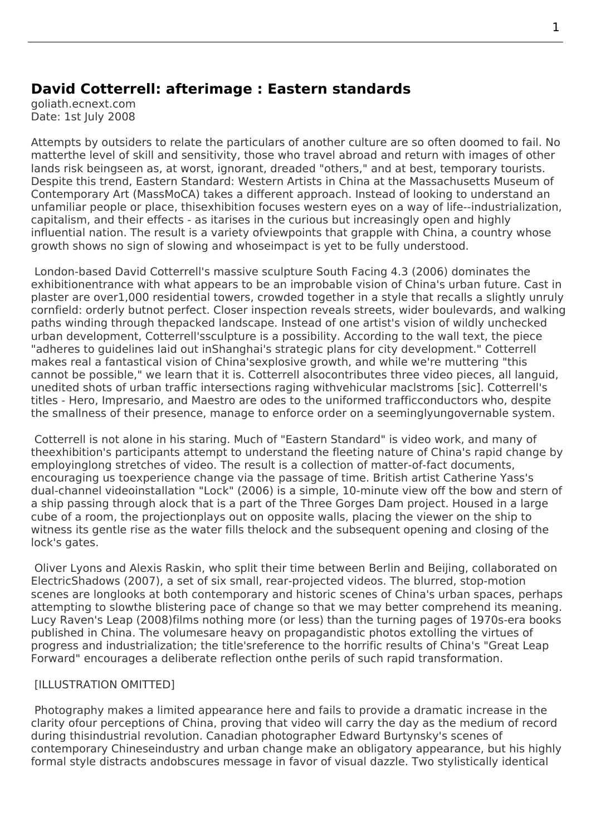## **David Cotterrell: afterimage : Eastern standards**

goliath.ecnext.com Date: 1st July 2008

Attempts by outsiders to relate the particulars of another culture are so often doomed to fail. No matterthe level of skill and sensitivity, those who travel abroad and return with images of other lands risk beingseen as, at worst, ignorant, dreaded "others," and at best, temporary tourists. Despite this trend, Eastern Standard: Western Artists in China at the Massachusetts Museum of Contemporary Art (MassMoCA) takes a different approach. Instead of looking to understand an unfamiliar people or place, thisexhibition focuses western eyes on a way of life--industrialization, capitalism, and their effects - as itarises in the curious but increasingly open and highly influential nation. [The result is a variety ofviewpoints that grap](http://www.cotterrell.com/exhibitions/4189/eastern-standard-western-artists-in-china/)ple with China, a country whose growth shows no sign of slowing and whoseimpact is yet to be fully understood.

 London-based David Cotterrell's massive sculpture South Facing 4.3 (2006) dominates the exhibitionentrance with what appears to be an improbable vision of China's urban future. Cast in plaster are over1,000 residential towers, crowded together in a style that recalls a slightly unruly cornfield: orderly butnot perfect. Closer inspection reveals streets, wider boulevards, and walking paths winding through thepacked landscape. Instea[d of one artis](http://www.cotterrell.com/projects/34/south-facing/text/)t's vision of wildly unchecked urban development, Cotterrell'ssculpture is a possibility. According to the wall text, the piece "adheres to guidelines laid out inShanghai's strategic plans for city development." Cotterrell makes real a fantastical vision of China'sexplosive growth, and while we're muttering "this cannot be possible," we learn that it is. Cotterrell alsocontributes three video pieces, all languid, unedited shots of urban traffic intersections raging withvehicular maclstroms [sic]. Cotterrell's titles - Hero, Impresario, and Maestro are odes to the uniformed trafficconductors who, despite the smallness of their presence, manage to enforce order on a seeminglyungovernable system.

 Cotterrell is not alone in his staring. Much of "Eastern Standard" is video work, and many of theex[hibitio](http://www.cotterrell.com/projects/42/hero-v/)n's participants attempt to understand the fleeting nature of China's rapid change by employinglong stretches of video. The result is a collection of matter-of-fact documents, encouraging us toexperience change via the passage of time. British artist Catherine Yass's dual-channel videoinstallation "Lock" (2006) is a simple, 10-minute view off the bow and stern of a ship passing through alock that is a part of the Three Gorges Dam project. Housed in a large cube of a room, the projectionplays out on opposite walls, placing the viewer on the ship to witness its gentle rise as the water fills thelock and the subsequent opening and closing of the lock's gates.

 Oliver Lyons and Alexis Raskin, who split their time between Berlin and Beijing, collaborated on ElectricShadows (2007), a set of six small, rear-projected videos. The blurred, stop-motion scenes are longlooks at both contemporary and historic scenes of China's urban spaces, perhaps attempting to slowthe blistering pace of change so that we may better comprehend its meaning. Lucy Raven's Leap (2008)films nothing more (or less) than the turning pages of 1970s-era books published in China. The volumesare heavy on propagandistic photos extolling the virtues of progress and industrialization; the title'sreference to the horrific results of China's "Great Leap Forward" encourages a deliberate reflection onthe perils of such rapid transformation.

## [ILLUSTRATION OMITTED]

 Photography makes a limited appearance here and fails to provide a dramatic increase in the clarity ofour perceptions of China, proving that video will carry the day as the medium of record during thisindustrial revolution. Canadian photographer Edward Burtynsky's scenes of contemporary Chineseindustry and urban change make an obligatory appearance, but his highly formal style distracts andobscures message in favor of visual dazzle. Two stylistically identical